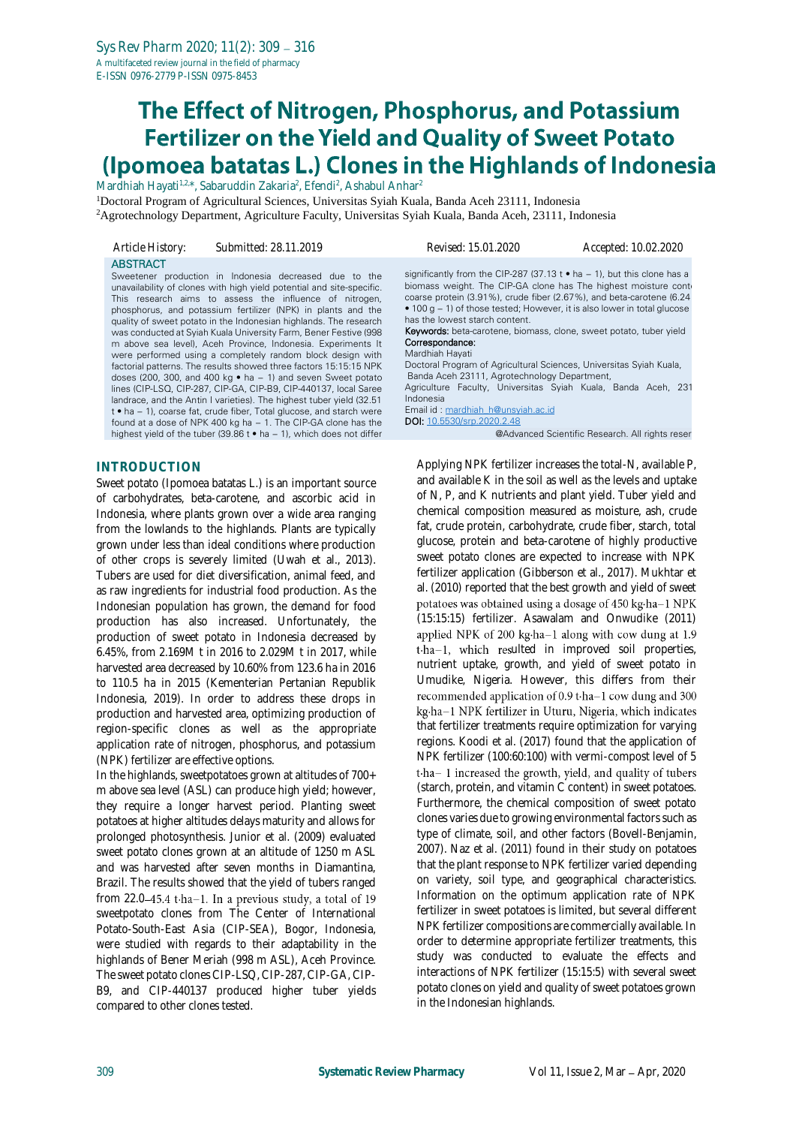# The Effect of Nitrogen, Phosphorus, and Potassium Fertilizer on the Yield and Quality of Sweet Potato (Ipomoea batatas L.) Clones in the Highlands of Indonesia

Mardhiah Hayati<sup>1,2,\*</sup>, Sabaruddin Zakaria<sup>2</sup>, Efendi<sup>2</sup>, Ashabul Anhar<sup>2</sup>

<sup>1</sup>Doctoral Program of Agricultural Sciences, Universitas Syiah Kuala, Banda Aceh 23111, Indonesia <sup>2</sup>Agrotechnology Department, Agriculture Faculty, Universitas Syiah Kuala, Banda Aceh, 23111, Indonesia

| Article History: | Submitted: 28.11.2019 |
|------------------|-----------------------|
|------------------|-----------------------|

#### **ABSTRACT**

Sweetener production in Indonesia decreased due to the unavailability of clones with high yield potential and site-specific. This research aims to assess the influence of nitrogen, phosphorus, and potassium fertilizer (NPK) in plants and the quality of sweet potato in the Indonesian highlands. The research was conducted at Syiah Kuala University Farm, Bener Festive (998 m above sea level), Aceh Province, Indonesia. Experiments It were performed using a completely random block design with factorial patterns. The results showed three factors 15:15:15 NPK doses (200, 300, and 400 kg • ha - 1) and seven Sweet potato lines (CIP-LSQ, CIP-287, CIP-GA, CIP-B9, CIP-440137, local Saree landrace, and the Antin I varieties). The highest tuber yield (32.51 t • ha − 1), coarse fat, crude fiber, Total glucose, and starch were found at a dose of NPK 400 kg ha − 1. The CIP-GA clone has the highest yield of the tuber (39.86 t • ha − 1), which does not differ

### **INTRODUCTION**

Sweet potato (Ipomoea batatas L.) is an important source of carbohydrates, beta-carotene, and ascorbic acid in Indonesia, where plants grown over a wide area ranging from the lowlands to the highlands. Plants are typically grown under less than ideal conditions where production of other crops is severely limited (Uwah et al., 2013). Tubers are used for diet diversification, animal feed, and as raw ingredients for industrial food production. As the Indonesian population has grown, the demand for food production has also increased. Unfortunately, the production of sweet potato in Indonesia decreased by 6.45%, from 2.169M t in 2016 to 2.029M t in 2017, while harvested area decreased by 10.60% from 123.6 ha in 2016 to 110.5 ha in 2015 (Kementerian Pertanian Republik Indonesia, 2019). In order to address these drops in production and harvested area, optimizing production of region-specific clones as well as the appropriate application rate of nitrogen, phosphorus, and potassium (NPK) fertilizer are effective options.

In the highlands, sweetpotatoes grown at altitudes of 700+ m above sea level (ASL) can produce high yield; however, they require a longer harvest period. Planting sweet potatoes at higher altitudes delays maturity and allows for prolonged photosynthesis. Junior et al. (2009) evaluated sweet potato clones grown at an altitude of 1250 m ASL and was harvested after seven months in Diamantina, Brazil. The results showed that the yield of tubers ranged from 22.0-45.4 t·ha-1. In a previous study, a total of 19 sweetpotato clones from The Center of International Potato-South-East Asia (CIP-SEA), Bogor, Indonesia, were studied with regards to their adaptability in the highlands of Bener Meriah (998 m ASL), Aceh Province. The sweet potato clones CIP-LSQ, CIP-287, CIP-GA, CIP-B9, and CIP-440137 produced higher tuber yields compared to other clones tested.

*Article History: Submitted: 28.11.2019 Revised: 15.01.2020 Accepted: 10.02.2020*

significantly from the CIP-287 (37.13 t  $\bullet$  ha – 1), but this clone has a biomass weight. The CIP-GA clone has The highest moisture content coarse protein (3.91%), crude fiber (2.67%), and beta-carotene (6.24 • 100 g − 1) of those tested; However, it is also lower in total glucose has the lowest starch content.

Keywords: beta-carotene, biomass, clone, sweet potato, tuber yield Correspondance:

#### Mardhiah Hayati

Doctoral Program of Agricultural Sciences, Universitas Syiah Kuala, Banda Aceh 23111, Agrotechnology Department,

Agriculture Faculty, Universitas Syiah Kuala, Banda Aceh, 231 Indonesia

Email id [: mardhiah\\_h@unsyiah.ac.id](mailto:mardhiah_h@unsyiah.ac.id) DOI[: 10.5530/srp.2020.2.48](http://dx.doi.org/10.5530/srp.2019.2.04)

@Advanced Scientific Research. All rights reser

Applying NPK fertilizer increases the total-N, available P, and available K in the soil as well as the levels and uptake of N, P, and K nutrients and plant yield. Tuber yield and chemical composition measured as moisture, ash, crude fat, crude protein, carbohydrate, crude fiber, starch, total glucose, protein and beta-carotene of highly productive sweet potato clones are expected to increase with NPK fertilizer application (Gibberson et al., 2017). Mukhtar et al. (2010) reported that the best growth and yield of sweet potatoes was obtained using a dosage of 450 kg·ha-1 NPK (15:15:15) fertilizer. Asawalam and Onwudike (2011) applied NPK of 200 kg·ha-1 along with cow dung at  $1.9$  $t-ha-1$ , which resulted in improved soil properties, nutrient uptake, growth, and yield of sweet potato in Umudike, Nigeria. However, this differs from their recommended application of 0.9 t·ha-1 cow dung and 300 kg·ha-1 NPK fertilizer in Uturu, Nigeria, which indicates that fertilizer treatments require optimization for varying regions. Koodi et al. (2017) found that the application of NPK fertilizer (100:60:100) with vermi-compost level of 5 t-ha-1 increased the growth, yield, and quality of tubers (starch, protein, and vitamin C content) in sweet potatoes. Furthermore, the chemical composition of sweet potato clones varies due to growing environmental factors such as type of climate, soil, and other factors (Bovell-Benjamin, 2007). Naz et al. (2011) found in their study on potatoes that the plant response to NPK fertilizer varied depending on variety, soil type, and geographical characteristics. Information on the optimum application rate of NPK fertilizer in sweet potatoes is limited, but several different NPK fertilizer compositions are commercially available. In order to determine appropriate fertilizer treatments, this study was conducted to evaluate the effects and interactions of NPK fertilizer (15:15:5) with several sweet potato clones on yield and quality of sweet potatoes grown in the Indonesian highlands.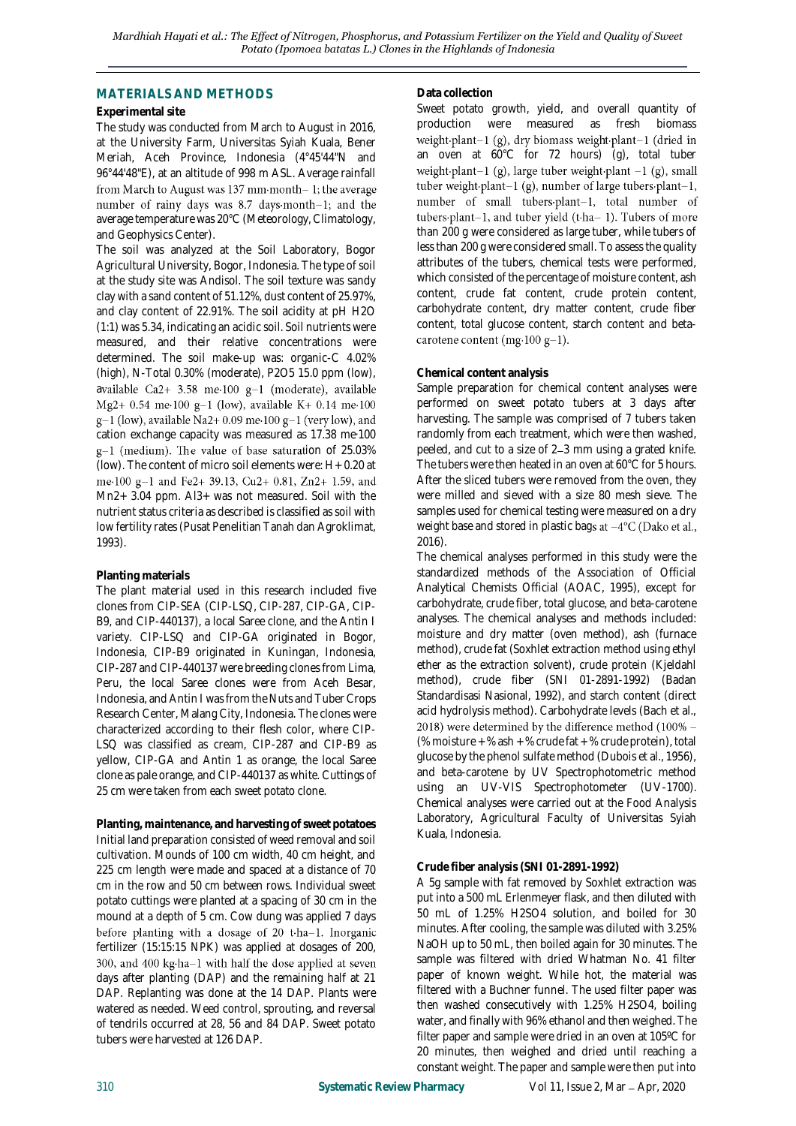# **MATERIALS AND METHODS**

#### **Experimental site**

The study was conducted from March to August in 2016, at the University Farm, Universitas Syiah Kuala, Bener Meriah, Aceh Province, Indonesia (4°45'44"N and 96°44'48"E), at an altitude of 998 m ASL. Average rainfall from March to August was 137 mm·month-1; the average number of rainy days was 8.7 days month-1; and the average temperature was 20°C (Meteorology, Climatology, and Geophysics Center).

The soil was analyzed at the Soil Laboratory, Bogor Agricultural University, Bogor, Indonesia. The type of soil at the study site was Andisol. The soil texture was sandy clay with a sand content of 51.12%, dust content of 25.97%, and clay content of 22.91%. The soil acidity at pH H2O (1:1) was 5.34, indicating an acidic soil. Soil nutrients were measured, and their relative concentrations were determined. The soil make-up was: organic-C 4.02% (high), N-Total 0.30% (moderate), P2O5 15.0 ppm (low), available Ca2+ 3.58 me·100 g-1 (moderate), available Mg2+ 0.54 me·100 g-1 (low), available K+ 0.14 me·100  $g-1$  (low), available Na2+ 0.09 me-100  $g-1$  (very low), and cation exchange capacity was measured as 17.38 me·100  $g-1$  (medium). The value of base saturation of 25.03% (low). The content of micro soil elements were: H+ 0.20 at me-100 g-1 and Fe2+ 39.13, Cu2+ 0.81, Zn2+ 1.59, and Mn2+ 3.04 ppm. Al3+ was not measured. Soil with the nutrient status criteria as described is classified as soil with low fertility rates (Pusat Penelitian Tanah dan Agroklimat, 1993).

# **Planting materials**

The plant material used in this research included five clones from CIP-SEA (CIP-LSQ, CIP-287, CIP-GA, CIP-B9, and CIP-440137), a local Saree clone, and the Antin I variety. CIP-LSQ and CIP-GA originated in Bogor, Indonesia, CIP-B9 originated in Kuningan, Indonesia, CIP-287 and CIP-440137 were breeding clones from Lima, Peru, the local Saree clones were from Aceh Besar, Indonesia, and Antin I was from the Nuts and Tuber Crops Research Center, Malang City, Indonesia. The clones were characterized according to their flesh color, where CIP-LSQ was classified as cream, CIP-287 and CIP-B9 as yellow, CIP-GA and Antin 1 as orange, the local Saree clone as pale orange, and CIP-440137 as white. Cuttings of 25 cm were taken from each sweet potato clone.

**Planting, maintenance, and harvesting of sweet potatoes** Initial land preparation consisted of weed removal and soil cultivation. Mounds of 100 cm width, 40 cm height, and 225 cm length were made and spaced at a distance of 70 cm in the row and 50 cm between rows. Individual sweet potato cuttings were planted at a spacing of 30 cm in the mound at a depth of 5 cm. Cow dung was applied 7 days before planting with a dosage of 20 t-ha-1. Inorganic fertilizer (15:15:15 NPK) was applied at dosages of 200, 300, and 400 kg·ha-1 with half the dose applied at seven days after planting (DAP) and the remaining half at 21 DAP. Replanting was done at the 14 DAP. Plants were watered as needed. Weed control, sprouting, and reversal of tendrils occurred at 28, 56 and 84 DAP. Sweet potato tubers were harvested at 126 DAP.

#### **Data collection**

Sweet potato growth, yield, and overall quantity of production were measured as fresh biomass weight-plant-1 (g), dry biomass weight-plant-1 (dried in an oven at 60°C for 72 hours) (g), total tuber weight-plant-1 (g), large tuber weight-plant -1 (g), small tuber weight plant -  $1$  (g), number of large tubers plant - 1, number of small tubers-plant-1, total number of tubers-plant-1, and tuber yield (t-ha-1). Tubers of more than 200 g were considered as large tuber, while tubers of less than 200 g were considered small. To assess the quality attributes of the tubers, chemical tests were performed, which consisted of the percentage of moisture content, ash content, crude fat content, crude protein content, carbohydrate content, dry matter content, crude fiber content, total glucose content, starch content and betacarotene content (mg·100 g-1).

#### **Chemical content analysis**

Sample preparation for chemical content analyses were performed on sweet potato tubers at 3 days after harvesting. The sample was comprised of 7 tubers taken randomly from each treatment, which were then washed, peeled, and cut to a size of 2–3 mm using a grated knife. The tubers were then heated in an oven at 60°C for 5 hours. After the sliced tubers were removed from the oven, they were milled and sieved with a size 80 mesh sieve. The samples used for chemical testing were measured on a dry weight base and stored in plastic bags at  $-4^{\circ}$ C (Dako et al., 2016).

The chemical analyses performed in this study were the standardized methods of the Association of Official Analytical Chemists Official (AOAC, 1995), except for carbohydrate, crude fiber, total glucose, and beta-carotene analyses. The chemical analyses and methods included: moisture and dry matter (oven method), ash (furnace method), crude fat (Soxhlet extraction method using ethyl ether as the extraction solvent), crude protein (Kjeldahl method), crude fiber (SNI 01-2891-1992) (Badan Standardisasi Nasional, 1992), and starch content (direct acid hydrolysis method). Carbohydrate levels (Bach et al., 2018) were determined by the difference method (100%  $-$ (% moisture + % ash + % crude fat + % crude protein), total glucose by the phenol sulfate method (Dubois et al., 1956), and beta-carotene by UV Spectrophotometric method using an UV-VIS Spectrophotometer (UV-1700). Chemical analyses were carried out at the Food Analysis Laboratory, Agricultural Faculty of Universitas Syiah Kuala, Indonesia.

### **Crude fiber analysis (SNI 01-2891-1992)**

A 5g sample with fat removed by Soxhlet extraction was put into a 500 mL Erlenmeyer flask, and then diluted with 50 mL of 1.25% H2SO4 solution, and boiled for 30 minutes. After cooling, the sample was diluted with 3.25% NaOH up to 50 mL, then boiled again for 30 minutes. The sample was filtered with dried Whatman No. 41 filter paper of known weight. While hot, the material was filtered with a Buchner funnel. The used filter paper was then washed consecutively with 1.25% H2SO4, boiling water, and finally with 96% ethanol and then weighed. The filter paper and sample were dried in an oven at 105ºC for 20 minutes, then weighed and dried until reaching a constant weight. The paper and sample were then put into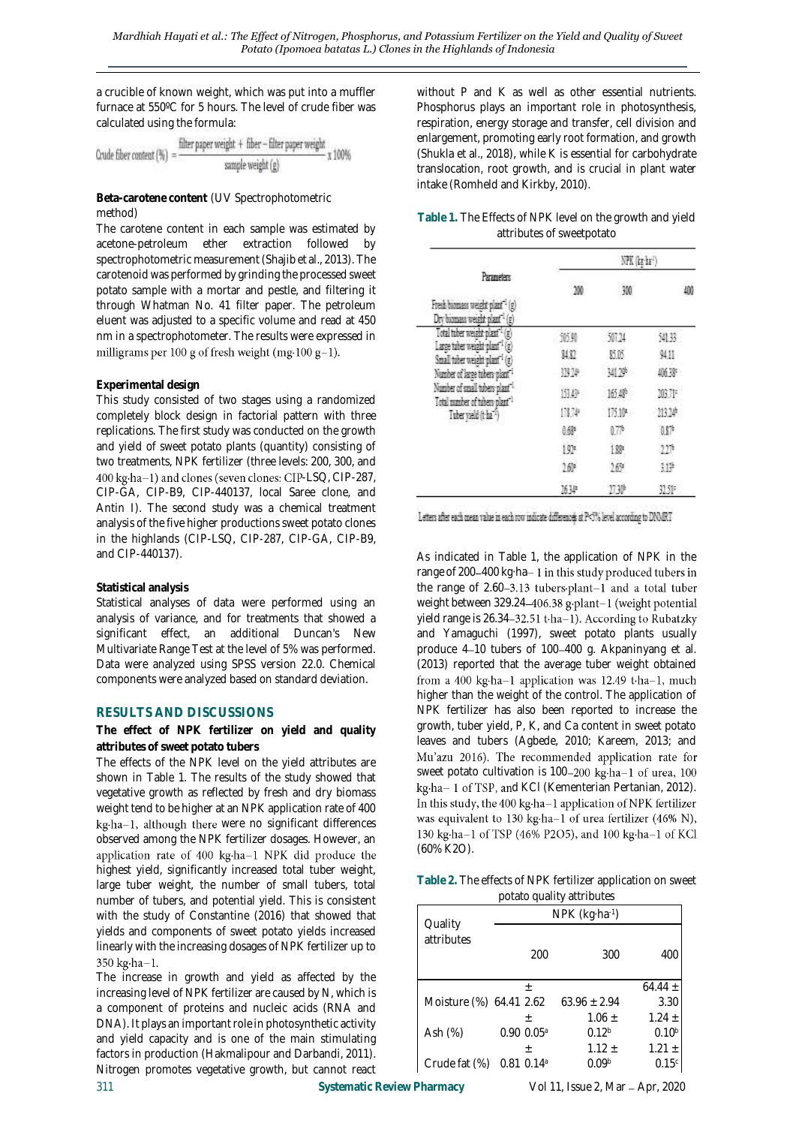a crucible of known weight, which was put into a muffler furnace at 550ºC for 5 hours. The level of crude fiber was calculated using the formula:

Crude fiber content 
$$
(\%) = \frac{\text{filter paper weight} + \text{fiber} - \text{filter paper weight}}{\text{sample weight (g)}} \ge 100\%
$$

### **Beta-carotene content** (UV Spectrophotometric method)

The carotene content in each sample was estimated by acetone-petroleum ether extraction followed by spectrophotometric measurement (Shajib et al., 2013). The carotenoid was performed by grinding the processed sweet potato sample with a mortar and pestle, and filtering it through Whatman No. 41 filter paper. The petroleum eluent was adjusted to a specific volume and read at 450 nm in a spectrophotometer. The results were expressed in milligrams per 100 g of fresh weight (mg·100 g-1).

# **Experimental design**

This study consisted of two stages using a randomized completely block design in factorial pattern with three replications. The first study was conducted on the growth and yield of sweet potato plants (quantity) consisting of two treatments, NPK fertilizer (three levels: 200, 300, and 400 kg·ha-1) and clones (seven clones: CIP-LSQ, CIP-287, CIP-GA, CIP-B9, CIP-440137, local Saree clone, and Antin I). The second study was a chemical treatment analysis of the five higher productions sweet potato clones in the highlands (CIP-LSQ, CIP-287, CIP-GA, CIP-B9, and CIP-440137).

# **Statistical analysis**

Statistical analyses of data were performed using an analysis of variance, and for treatments that showed a significant effect, an additional Duncan's New Multivariate Range Test at the level of 5% was performed. Data were analyzed using SPSS version 22.0. Chemical components were analyzed based on standard deviation.

# **RESULTS AND DISCUSSIONS**

**The effect of NPK fertilizer on yield and quality attributes of sweet potato tubers**

The effects of the NPK level on the yield attributes are shown in Table 1. The results of the study showed that vegetative growth as reflected by fresh and dry biomass weight tend to be higher at an NPK application rate of 400 kg·ha-1, although there were no significant differences observed among the NPK fertilizer dosages. However, an application rate of 400 kg·ha-1 NPK did produce the highest yield, significantly increased total tuber weight, large tuber weight, the number of small tubers, total number of tubers, and potential yield. This is consistent with the study of Constantine (2016) that showed that yields and components of sweet potato yields increased linearly with the increasing dosages of NPK fertilizer up to 350 kg·ha-1.

The increase in growth and yield as affected by the increasing level of NPK fertilizer are caused by N, which is a component of proteins and nucleic acids (RNA and DNA). It plays an important role in photosynthetic activity and yield capacity and is one of the main stimulating factors in production (Hakmalipour and Darbandi, 2011). Nitrogen promotes vegetative growth, but cannot react without P and K as well as other essential nutrients. Phosphorus plays an important role in photosynthesis, respiration, energy storage and transfer, cell division and enlargement, promoting early root formation, and growth (Shukla et al., 2018), while K is essential for carbohydrate translocation, root growth, and is crucial in plant water intake (Romheld and Kirkby, 2010).

| Table 1. The Effects of NPK level on the growth and yield |  |
|-----------------------------------------------------------|--|
| attributes of sweetpotato                                 |  |

|                                                                                            | WK (trist) |         |        |  |  |  |
|--------------------------------------------------------------------------------------------|------------|---------|--------|--|--|--|
| Parameters                                                                                 | 200        | -300    | 400    |  |  |  |
| Fresh biomass weight plant <sup>-1</sup> (g)<br>Dry biomass weight plant <sup>-1</sup> (g) |            |         |        |  |  |  |
| Total tuber weight plant <sup>1</sup> (g)                                                  | 筋養         | 5074    | 阻抗     |  |  |  |
| Large tuber weight plant <sup>-1</sup> (g)<br>Small tuber weight plant <sup>-1</sup> (g)   | 34.KL      | 85.05   | 剪目     |  |  |  |
| Number of large tabers plant <sup>-1</sup>                                                 | 银法         | 341.3%  | 406.38 |  |  |  |
| Number of small tubers plant <sup>-1</sup>                                                 | 的称         | 165.48  | 203 TP |  |  |  |
| Total number of tubers plant <sup>-1</sup><br>Tuber vield (t ha <sup>-5</sup> )            | 日記を        | 175.10- | 1314   |  |  |  |
|                                                                                            | 6.69       | ₩.      | 0.57   |  |  |  |
|                                                                                            | 193        | 182     | 215    |  |  |  |
|                                                                                            | 169        | 169     | 119    |  |  |  |
|                                                                                            | 顶钟         | 1730    | 打字     |  |  |  |

#### Letters after each mean value in each row indicate differences at P<5% level according to DNMRT

As indicated in Table 1, the application of NPK in the range of 200-400 kg·ha-1 in this study produced tubers in the range of 2.60-3.13 tubers-plant-1 and a total tuber weight between 329.24-406.38 g-plant-1 (weight potential yield range is 26.34-32.51 t·ha-1). According to Rubatzky and Yamaguchi (1997), sweet potato plants usually produce 4-10 tubers of 100-400 g. Akpaninyang et al. (2013) reported that the average tuber weight obtained from a 400 kg·ha-1 application was 12.49 t·ha-1, much higher than the weight of the control. The application of NPK fertilizer has also been reported to increase the growth, tuber yield, P, K, and Ca content in sweet potato leaves and tubers (Agbede, 2010; Kareem, 2013; and Mu'azu 2016). The recommended application rate for sweet potato cultivation is 100-200 kg·ha-1 of urea, 100 kg·ha-1 of TSP, and KCl (Kementerian Pertanian, 2012). In this study, the 400 kg·ha-1 application of NPK fertilizer was equivalent to 130 kg·ha-1 of urea fertilizer (46% N), 130 kg·ha-1 of TSP (46% P2O5), and 100 kg·ha-1 of KCl (60% K2O).

**Table 2.** The effects of NPK fertilizer application on sweet potato quality attributes

| Quality                 | $NPK$ (kg $\cdot$ ha $\cdot$ 1) |                   |                   |  |  |  |
|-------------------------|---------------------------------|-------------------|-------------------|--|--|--|
| attributes              | 200                             | 300               | 400               |  |  |  |
|                         | $^{+}$                          |                   | 64.44 $\pm$       |  |  |  |
| Moisture (%) 64.41 2.62 |                                 | $63.96 + 2.94$    | 3.30              |  |  |  |
|                         | $^{+}$                          | $1.06 \pm$        | $1.24 \pm$        |  |  |  |
| Ash (%)                 | $0.90 0.05$ <sup>a</sup>        | 0.12 <sup>b</sup> | 0.10 <sup>b</sup> |  |  |  |
|                         | 土                               | $1.12 \pm$        | $1.21 \pm$        |  |  |  |
| Crude fat (%)           | 0.81<br>0.14 <sup>a</sup>       | 0.09 <sup>b</sup> | 0.15c             |  |  |  |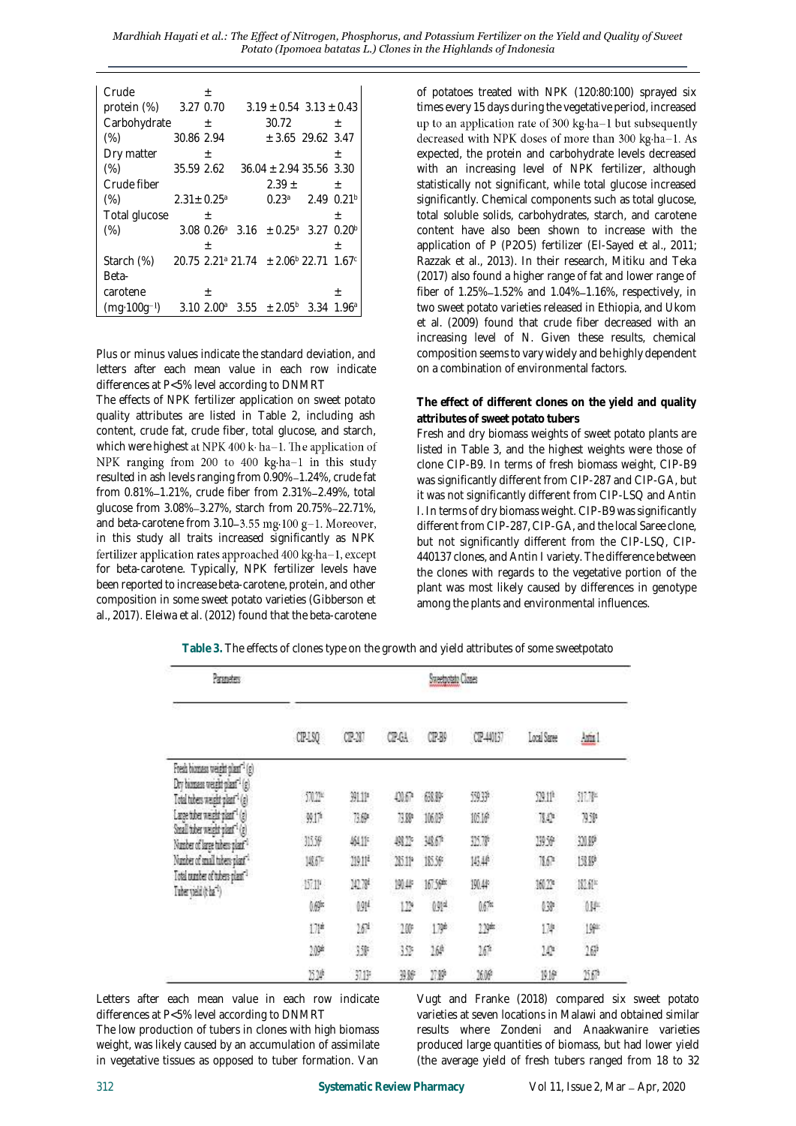*Mardhiah Hayati et al.: The Effect of Nitrogen, Phosphorus, and Potassium Fertilizer on the Yield and Quality of Sweet Potato (Ipomoea batatas L.) Clones in the Highlands of Indonesia*

| Crude                 |                            | $^{+}$            |                                                                             |                                 |      |                   |
|-----------------------|----------------------------|-------------------|-----------------------------------------------------------------------------|---------------------------------|------|-------------------|
| protein (%) 3.27 0.70 |                            |                   |                                                                             | $3.19 \pm 0.54$ $3.13 \pm 0.43$ |      |                   |
| Carbohydrate          |                            | $\pm$             |                                                                             | 30.72                           |      | $^{+}$            |
| (% )                  | 30.86 2.94                 |                   |                                                                             | ± 3.65 29.62 3.47               |      |                   |
| Dry matter            |                            | 士                 |                                                                             |                                 |      | 土                 |
| (% )                  | 35.59 2.62                 |                   |                                                                             | $36.04 \pm 2.9435.563.30$       |      |                   |
| Crude fiber           |                            |                   |                                                                             | $2.39 \pm$                      |      | $\pm$             |
| (% )                  | $2.31 + 0.25$ <sup>a</sup> |                   |                                                                             | $0.23^a$ 2.49 $0.21^b$          |      |                   |
| Total glucose         |                            | 土                 |                                                                             |                                 |      | $^+$              |
| (% )                  |                            |                   | 3.08 0.26 <sup>a</sup> 3.16 $\pm$ 0.25 <sup>a</sup> 3.27                    |                                 |      | 0.20 <sup>b</sup> |
|                       |                            | $^{+}$            |                                                                             |                                 |      | $^+$              |
| Starch (%)            |                            |                   | $20.75$ 2.21 <sup>a</sup> 21.74 + 2.06 <sup>b</sup> 22.71 1.67 <sup>c</sup> |                                 |      |                   |
| Beta-                 |                            |                   |                                                                             |                                 |      |                   |
| carotene              |                            | $+$               |                                                                             |                                 |      | $\pm$             |
| $(mq.100q^{-1})$      | 3.10                       | 2.00 <sup>a</sup> |                                                                             | $3.55 \pm 2.05^{\circ}$         | 3.34 | 1.96ª             |

Plus or minus values indicate the standard deviation, and letters after each mean value in each row indicate differences at P<5% level according to DNMRT

The effects of NPK fertilizer application on sweet potato quality attributes are listed in Table 2, including ash content, crude fat, crude fiber, total glucose, and starch, which were highest at NPK 400 k $\cdot$  ha-1. The application of NPK ranging from 200 to 400 kg·ha-1 in this study resulted in ash levels ranging from 0.90% 1.24%, crude fat from  $0.81\% - 1.21\%$ , crude fiber from  $2.31\% - 2.49\%$ , total glucose from 3.08%-3.27%, starch from 20.75%-22.71%, and beta-carotene from 3.10-3.55 mg·100 g-1. Moreover, in this study all traits increased significantly as NPK fertilizer application rates approached 400 kg·ha-1, except for beta-carotene. Typically, NPK fertilizer levels have been reported to increase beta-carotene, protein, and other composition in some sweet potato varieties (Gibberson et al., 2017). Eleiwa et al. (2012) found that the beta-carotene

of potatoes treated with NPK (120:80:100) sprayed six times every 15 days during the vegetative period, increased up to an application rate of 300 kg·ha-1 but subsequently decreased with NPK doses of more than 300 kg·ha-1. As expected, the protein and carbohydrate levels decreased with an increasing level of NPK fertilizer, although statistically not significant, while total glucose increased significantly. Chemical components such as total glucose, total soluble solids, carbohydrates, starch, and carotene content have also been shown to increase with the application of P (P2O5) fertilizer (El-Sayed et al., 2011; Razzak et al., 2013). In their research, Mitiku and Teka (2017) also found a higher range of fat and lower range of fiber of  $1.25\% - 1.52\%$  and  $1.04\% - 1.16\%$ , respectively, in two sweet potato varieties released in Ethiopia, and Ukom et al. (2009) found that crude fiber decreased with an increasing level of N. Given these results, chemical composition seems to vary widely and be highly dependent on a combination of environmental factors.

**The effect of different clones on the yield and quality attributes of sweet potato tubers** 

Fresh and dry biomass weights of sweet potato plants are listed in Table 3, and the highest weights were those of clone CIP-B9. In terms of fresh biomass weight, CIP-B9 was significantly different from CIP-287 and CIP-GA, but it was not significantly different from CIP-LSQ and Antin I. In terms of dry biomass weight. CIP-B9 was significantly different from CIP-287, CIP-GA, and the local Saree clone, but not significantly different from the CIP-LSQ, CIP-440137 clones, and Antin I variety. The difference between the clones with regards to the vegetative portion of the plant was most likely caused by differences in genotype among the plants and environmental influences.

| Parameters                                                                                | Sweetpatato Clases |            |              |                 |          |                  |        |
|-------------------------------------------------------------------------------------------|--------------------|------------|--------------|-----------------|----------|------------------|--------|
|                                                                                           | œ<br>CIP-LSQ       | CP-207     | <b>CP-GA</b> | CIP-B9          | CP-40137 | Local Saree      | hin 1  |
| Fresh biomass weight plant <sup>-1</sup> (g)                                              |                    |            |              |                 |          |                  |        |
| Dry biomass weight plant <sup>-1</sup> (g)<br>Total tubers weight plant <sup>-1</sup> (g) | 顶部                 | 别非         | 400          | 68静             | 5939     | 證世               | 犯罪     |
| Large tuber weight plant <sup>-t</sup> (g)<br>Small tuber weight plant <sup>-1</sup> (g)  | 911                | 76         | U.S          | 106倍            | 1010     | N.O              | 图像     |
| Number of large tubers plant <sup>1</sup>                                                 | 顶流                 | 数序         | 機整           | 福伊              | 顶摩       | 脱资               | 320.89 |
| Number of small tubers plant <sup>-1</sup>                                                | 城戶                 | 200,114    | 285.11*      | 18559           | 博評       | 160 <sup>n</sup> | 1339   |
| Total number of tubers plant <sup>1</sup><br>Taber yield (t ba <sup>-t</sup> )            | 提出                 | 10.7%      | 锁件           | 16 56m          | 190.4%   | 1022             | 顶件     |
|                                                                                           | 鰰                  | $0.91^{4}$ | 128          | 0.914           | 067      | 032              | 衅      |
|                                                                                           | Ï₩                 | 167        | 10           | 12 <sup>o</sup> | m        | L¥               | 胖      |
|                                                                                           | $10^{\rm m}$       | 瓣          | 10           | 16#             | 167      | 10               | 169    |
|                                                                                           | <b>1500</b>        | 犯罪         | 39.86        | 799             | Xŵ       | 19.169           | 2569   |

**Table 3.** The effects of clones type on the growth and yield attributes of some sweetpotato

Letters after each mean value in each row indicate differences at P<5% level according to DNMRT

The low production of tubers in clones with high biomass weight, was likely caused by an accumulation of assimilate in vegetative tissues as opposed to tuber formation. Van Vugt and Franke (2018) compared six sweet potato varieties at seven locations in Malawi and obtained similar results where Zondeni and Anaakwanire varieties produced large quantities of biomass, but had lower yield (the average yield of fresh tubers ranged from 18 to 32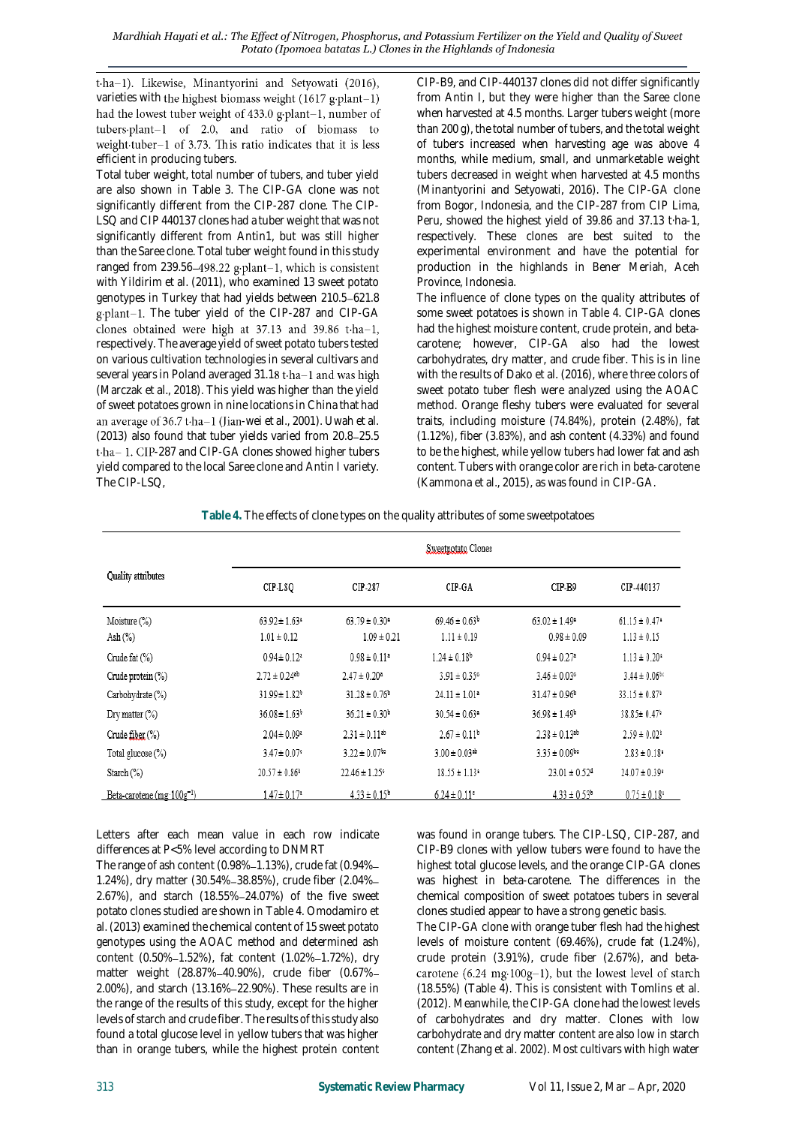t-ha-1). Likewise, Minantyorini and Setyowati (2016), varieties with the highest biomass weight  $(1617 \text{ g-plant}-1)$ had the lowest tuber weight of 433.0 g plant-1, number of tubers-plant-1 of 2.0, and ratio of biomass to weight-tuber-1 of 3.73. This ratio indicates that it is less efficient in producing tubers.

Total tuber weight, total number of tubers, and tuber yield are also shown in Table 3. The CIP-GA clone was not significantly different from the CIP-287 clone. The CIP-LSQ and CIP 440137 clones had a tuber weight that was not significantly different from Antin1, but was still higher than the Saree clone. Total tuber weight found in this study ranged from 239.56-498.22 g plant-1, which is consistent with Yildirim et al. (2011), who examined 13 sweet potato genotypes in Turkey that had yields between 210.5-621.8 g-plant-1. The tuber yield of the CIP-287 and CIP-GA clones obtained were high at 37.13 and 39.86 t-ha-1, respectively. The average yield of sweet potato tubers tested on various cultivation technologies in several cultivars and several years in Poland averaged 31.18 t·ha-1 and was high (Marczak et al., 2018). This yield was higher than the yield of sweet potatoes grown in nine locations in China that had an average of  $36.7$  t $\cdot$ ha $-1$  (Jian-wei et al., 2001). Uwah et al. (2013) also found that tuber yields varied from 20.8 25.5 t-ha-1. CIP-287 and CIP-GA clones showed higher tubers yield compared to the local Saree clone and Antin I variety. The CIP-LSQ,

CIP-B9, and CIP-440137 clones did not differ significantly from Antin I, but they were higher than the Saree clone when harvested at 4.5 months. Larger tubers weight (more than 200 g), the total number of tubers, and the total weight of tubers increased when harvesting age was above 4 months, while medium, small, and unmarketable weight tubers decreased in weight when harvested at 4.5 months (Minantyorini and Setyowati, 2016). The CIP-GA clone from Bogor, Indonesia, and the CIP-287 from CIP Lima, Peru, showed the highest yield of 39.86 and 37.13 t·ha-1, respectively. These clones are best suited to the experimental environment and have the potential for production in the highlands in Bener Meriah, Aceh Province, Indonesia.

The influence of clone types on the quality attributes of some sweet potatoes is shown in Table 4. CIP-GA clones had the highest moisture content, crude protein, and betacarotene; however, CIP-GA also had the lowest carbohydrates, dry matter, and crude fiber. This is in line with the results of Dako et al. (2016), where three colors of sweet potato tuber flesh were analyzed using the AOAC method. Orange fleshy tubers were evaluated for several traits, including moisture (74.84%), protein (2.48%), fat (1.12%), fiber (3.83%), and ash content (4.33%) and found to be the highest, while yellow tubers had lower fat and ash content. Tubers with orange color are rich in beta-carotene (Kammona et al., 2015), as was found in CIP-GA.

**Table 4.** The effects of clone types on the quality attributes of some sweetpotatoes

|                                        | Sweetpotato Clones                               |                                                  |                                      |                                                  |                                                  |  |  |  |
|----------------------------------------|--------------------------------------------------|--------------------------------------------------|--------------------------------------|--------------------------------------------------|--------------------------------------------------|--|--|--|
| Quality attributes                     | CIP-LSO                                          | CIP-287                                          | CIP-GA                               | CIP-B9                                           | CIP-440137                                       |  |  |  |
| Moisture (%)<br>Ash $(\%)$             | $63.92 \pm 1.63$ <sup>a</sup><br>$1.01 \pm 0.12$ | $63.79 \pm 0.30$ <sup>2</sup><br>$1.09 \pm 0.21$ | $69.46 \pm 0.63b$<br>$1.11 \pm 0.19$ | $63.02 \pm 1.49$ <sup>2</sup><br>$0.98 \pm 0.09$ | $61.15 \pm 0.47$ <sup>*</sup><br>$1.13 \pm 0.15$ |  |  |  |
| Crude fat (%)                          | $0.94 \pm 0.12$ <sup>a</sup>                     | $0.98 \pm 0.11$ <sup>2</sup>                     | $1.24 \pm 0.18^b$                    | $0.94 \pm 0.27$ <sup>2</sup>                     | $1.13 \pm 0.20^*$                                |  |  |  |
| Crude protein (%)                      | $2.72 \pm 0.24$ <sup>ab</sup>                    | $2.47 \pm 0.20$ <sup>2</sup>                     | $3.91 \pm 0.35$ <sup>c</sup>         | $3.46 \pm 0.03$ °                                | $3.44 \pm 0.06$ <sup>bc</sup>                    |  |  |  |
| Carbohydrate (%)                       | $31.99 \pm 1.82^b$                               | $31.28 \pm 0.76$ <sup>b</sup>                    | $24.11 \pm 1.01$ <sup>2</sup>        | $31.47 \pm 0.96^{\circ}$                         | $33.15 \pm 0.87^{\circ}$                         |  |  |  |
| $Dry$ matter $(\%)$                    | $36.08 \pm 1.63^b$                               | $36.21 \pm 0.30$ <sup>b</sup>                    | $30.54 \pm 0.63$ <sup>2</sup>        | $36.98 \pm 1.49^b$                               | $38.85 \pm 0.47$ <sup>b</sup>                    |  |  |  |
| Crude fiber (%)                        | $2.04 \pm 0.09$ <sup>a</sup>                     | $2.31 \pm 0.11$ <sup>ab</sup>                    | $2.67 \pm 0.11^b$                    | $2.38 \pm 0.13^{ab}$                             | $2.59 \pm 0.02^{\circ}$                          |  |  |  |
| Total glucose (%)                      | $3.47 \pm 0.07$ °                                | $3.22 \pm 0.07$ <sup>bc</sup>                    | $3.00 \pm 0.03$ <sup>ab</sup>        | $3.35 \pm 0.09$ bc                               | $2.83 \pm 0.18$ <sup>2</sup>                     |  |  |  |
| Starch (%)                             | $20.57 \pm 0.86$ <sup>1</sup>                    | $22.46 \pm 1.25$ <sup>c</sup>                    | $18.55 \pm 1.13$ <sup>*</sup>        | $23.01 \pm 0.52$ <sup>d</sup>                    | $24.07 \pm 0.39$                                 |  |  |  |
| Beta-carotene (mg 100g <sup>-1</sup> ) | $1.47 \pm 0.17^a$                                | $4.33 \pm 0.15^{\circ}$                          | $6.24 \pm 0.11$ <sup>c</sup>         | $4.33 \pm 0.53$ <sup>b</sup>                     | $0.75 \pm 0.18$ <sup>*</sup>                     |  |  |  |

Letters after each mean value in each row indicate differences at P<5% level according to DNMRT

The range of ash content (0.98% $-1.13$ %), crude fat (0.94% $-$ 1.24%), dry matter (30.54% 38.85%), crude fiber (2.04% 2.67%), and starch (18.55% 24.07%) of the five sweet potato clones studied are shown in Table 4. Omodamiro et al. (2013) examined the chemical content of 15 sweet potato genotypes using the AOAC method and determined ash content (0.50% 1.52%), fat content (1.02% 1.72%), dry matter weight (28.87%-40.90%), crude fiber (0.67%-2.00%), and starch (13.16% 22.90%). These results are in the range of the results of this study, except for the higher levels of starch and crude fiber. The results of this study also found a total glucose level in yellow tubers that was higher than in orange tubers, while the highest protein content was found in orange tubers. The CIP-LSQ, CIP-287, and CIP-B9 clones with yellow tubers were found to have the highest total glucose levels, and the orange CIP-GA clones was highest in beta-carotene. The differences in the chemical composition of sweet potatoes tubers in several clones studied appear to have a strong genetic basis.

The CIP-GA clone with orange tuber flesh had the highest levels of moisture content (69.46%), crude fat (1.24%), crude protein (3.91%), crude fiber (2.67%), and beta carotene (6.24 mg·100g-1), but the lowest level of starch (18.55%) (Table 4). This is consistent with Tomlins et al. (2012). Meanwhile, the CIP-GA clone had the lowest levels of carbohydrates and dry matter. Clones with low carbohydrate and dry matter content are also low in starch content (Zhang et al. 2002). Most cultivars with high water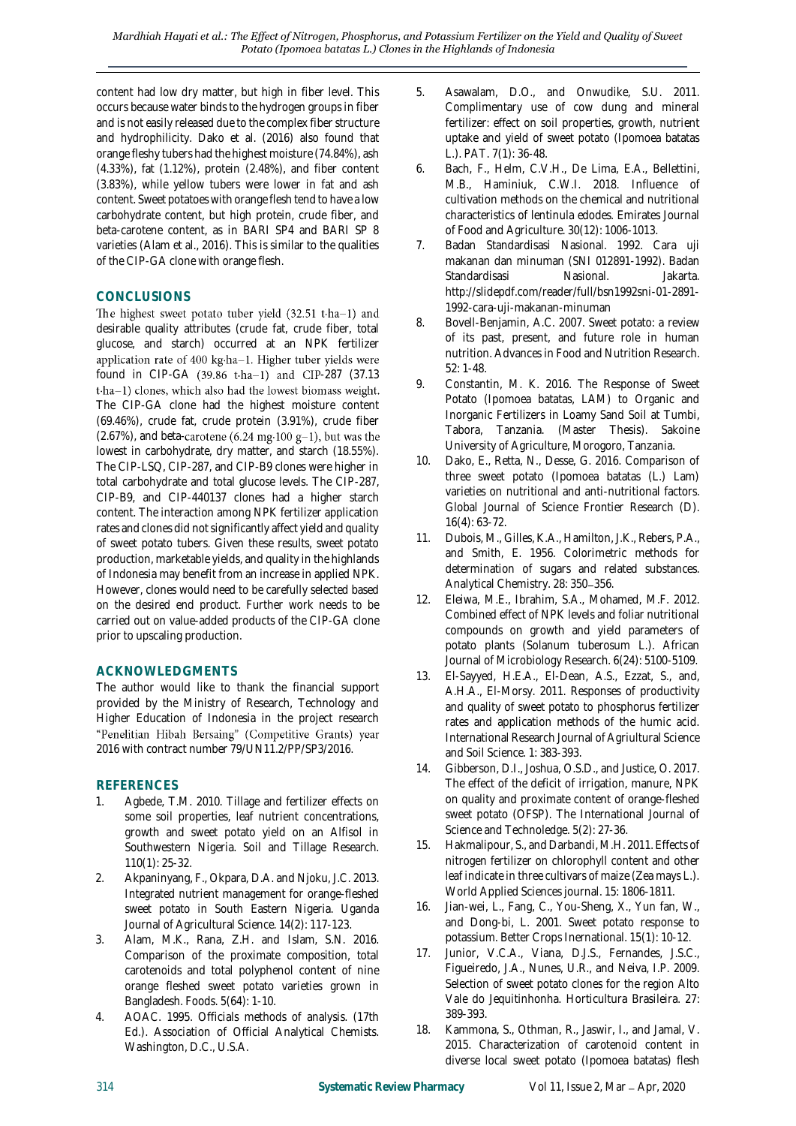content had low dry matter, but high in fiber level. This occurs because water binds to the hydrogen groups in fiber and is not easily released due to the complex fiber structure and hydrophilicity. Dako et al. (2016) also found that orange fleshy tubers had the highest moisture (74.84%), ash (4.33%), fat (1.12%), protein (2.48%), and fiber content (3.83%), while yellow tubers were lower in fat and ash content. Sweet potatoes with orange flesh tend to have a low carbohydrate content, but high protein, crude fiber, and beta-carotene content, as in BARI SP4 and BARI SP 8 varieties (Alam et al., 2016). This is similar to the qualities of the CIP-GA clone with orange flesh.

# **CONCLUSIONS**

The highest sweet potato tuber yield (32.51 t-ha-1) and desirable quality attributes (crude fat, crude fiber, total glucose, and starch) occurred at an NPK fertilizer application rate of 400 kg·ha-1. Higher tuber yields were found in CIP-GA  $(39.86 \text{ tha}-1)$  and CIP-287  $(37.13)$ t-ha-1) clones, which also had the lowest biomass weight. The CIP-GA clone had the highest moisture content (69.46%), crude fat, crude protein (3.91%), crude fiber  $(2.67\%)$ , and beta-carotene  $(6.24 \text{ mg}\cdot 100 \text{ g}-1)$ , but was the lowest in carbohydrate, dry matter, and starch (18.55%). The CIP-LSQ, CIP-287, and CIP-B9 clones were higher in total carbohydrate and total glucose levels. The CIP-287, CIP-B9, and CIP-440137 clones had a higher starch content. The interaction among NPK fertilizer application rates and clones did not significantly affect yield and quality of sweet potato tubers. Given these results, sweet potato production, marketable yields, and quality in the highlands of Indonesia may benefit from an increase in applied NPK. However, clones would need to be carefully selected based on the desired end product. Further work needs to be carried out on value-added products of the CIP-GA clone prior to upscaling production.

# **ACKNOWLEDGMENTS**

The author would like to thank the financial support provided by the Ministry of Research, Technology and Higher Education of Indonesia in the project research<br>"Penelitian Hibah Bersaing" (Competitive Grants) year 2016 with contract number 79/UN11.2/PP/SP3/2016.

# **REFERENCES**

- 1. Agbede, T.M. 2010. Tillage and fertilizer effects on some soil properties, leaf nutrient concentrations, growth and sweet potato yield on an Alfisol in Southwestern Nigeria. Soil and Tillage Research. 110(1): 25-32.
- 2. Akpaninyang, F., Okpara, D.A. and Njoku, J.C. 2013. Integrated nutrient management for orange-fleshed sweet potato in South Eastern Nigeria. Uganda Journal of Agricultural Science. 14(2): 117-123.
- 3. Alam, M.K., Rana, Z.H. and Islam, S.N. 2016. Comparison of the proximate composition, total carotenoids and total polyphenol content of nine orange fleshed sweet potato varieties grown in Bangladesh. Foods. 5(64): 1-10.
- 4. AOAC. 1995. Officials methods of analysis. (17th Ed.). Association of Official Analytical Chemists. Washington, D.C., U.S.A.
- 5. Asawalam, D.O., and Onwudike, S.U. 2011. Complimentary use of cow dung and mineral fertilizer: effect on soil properties, growth, nutrient uptake and yield of sweet potato (Ipomoea batatas L.). PAT. 7(1): 36-48.
- 6. Bach, F., Helm, C.V.H., De Lima, E.A., Bellettini, M.B., Haminiuk, C.W.I. 2018. Influence of cultivation methods on the chemical and nutritional characteristics of lentinula edodes. Emirates Journal of Food and Agriculture. 30(12): 1006-1013.
- 7. Badan Standardisasi Nasional. 1992. Cara uji makanan dan minuman (SNI 012891-1992). Badan Standardisasi Nasional. Jakarta. http://slidepdf.com/reader/full/bsn1992sni-01-2891- 1992-cara-uji-makanan-minuman
- 8. Bovell-Benjamin, A.C. 2007. Sweet potato: a review of its past, present, and future role in human nutrition. Advances in Food and Nutrition Research. 52: 1-48.
- 9. Constantin, M. K. 2016. The Response of Sweet Potato (Ipomoea batatas, LAM) to Organic and Inorganic Fertilizers in Loamy Sand Soil at Tumbi, Tabora, Tanzania. (Master Thesis). Sakoine University of Agriculture, Morogoro, Tanzania.
- 10. Dako, E., Retta, N., Desse, G. 2016. Comparison of three sweet potato (Ipomoea batatas (L.) Lam) varieties on nutritional and anti-nutritional factors. Global Journal of Science Frontier Research (D). 16(4): 63-72.
- 11. Dubois, M., Gilles, K.A., Hamilton, J.K., Rebers, P.A., and Smith, E. 1956. Colorimetric methods for determination of sugars and related substances. Analytical Chemistry. 28: 350-356.
- 12. Eleiwa, M.E., Ibrahim, S.A., Mohamed, M.F. 2012. Combined effect of NPK levels and foliar nutritional compounds on growth and yield parameters of potato plants (Solanum tuberosum L.). African Journal of Microbiology Research. 6(24): 5100-5109.
- 13. El-Sayyed, H.E.A., El-Dean, A.S., Ezzat, S., and, A.H.A., El-Morsy. 2011. Responses of productivity and quality of sweet potato to phosphorus fertilizer rates and application methods of the humic acid. International Research Journal of Agriultural Science and Soil Science. 1: 383-393.
- 14. Gibberson, D.I., Joshua, O.S.D., and Justice, O. 2017. The effect of the deficit of irrigation, manure, NPK on quality and proximate content of orange-fleshed sweet potato (OFSP). The International Journal of Science and Technoledge. 5(2): 27-36.
- 15. Hakmalipour, S., and Darbandi, M.H. 2011. Effects of nitrogen fertilizer on chlorophyll content and other leaf indicate in three cultivars of maize (Zea mays L.). World Applied Sciences journal. 15: 1806-1811.
- 16. Jian-wei, L., Fang, C., You-Sheng, X., Yun fan, W., and Dong-bi, L. 2001. Sweet potato response to potassium. Better Crops Inernational. 15(1): 10-12.
- 17. Junior, V.C.A., Viana, D.J.S., Fernandes, J.S.C., Figueiredo, J.A., Nunes, U.R., and Neiva, I.P. 2009. Selection of sweet potato clones for the region Alto Vale do Jequitinhonha. Horticultura Brasileira. 27: 389-393.
- 18. Kammona, S., Othman, R., Jaswir, I., and Jamal, V. 2015. Characterization of carotenoid content in diverse local sweet potato (Ipomoea batatas) flesh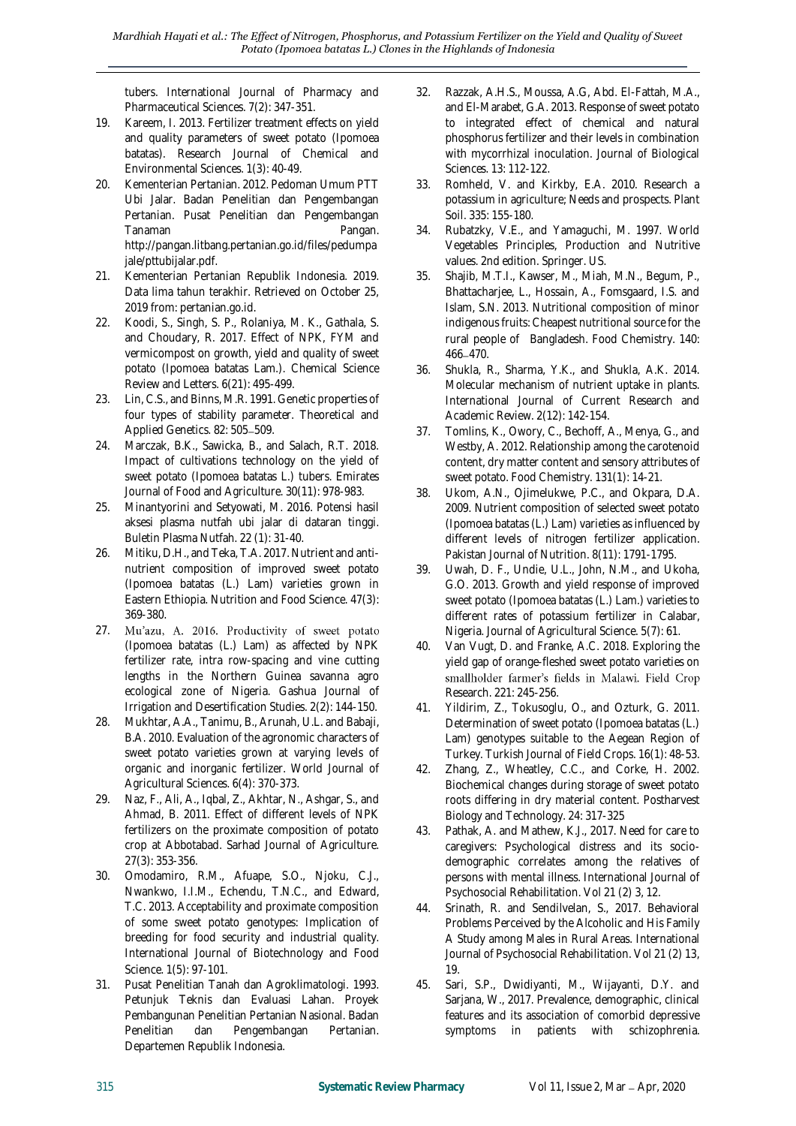tubers. International Journal of Pharmacy and Pharmaceutical Sciences. 7(2): 347-351.

- 19. Kareem, I. 2013. Fertilizer treatment effects on yield and quality parameters of sweet potato (Ipomoea batatas). Research Journal of Chemical and Environmental Sciences. 1(3): 40-49.
- 20. Kementerian Pertanian. 2012. Pedoman Umum PTT Ubi Jalar. Badan Penelitian dan Pengembangan Pertanian. Pusat Penelitian dan Pengembangan Tanaman Pangan. http://pangan.litbang.pertanian.go.id/files/pedumpa jale/pttubijalar.pdf.
- 21. Kementerian Pertanian Republik Indonesia. 2019. Data lima tahun terakhir. Retrieved on October 25, 2019 from: pertanian.go.id.
- 22. Koodi, S., Singh, S. P., Rolaniya, M. K., Gathala, S. and Choudary, R. 2017. Effect of NPK, FYM and vermicompost on growth, yield and quality of sweet potato (Ipomoea batatas Lam.). Chemical Science Review and Letters. 6(21): 495-499.
- 23. Lin, C.S., and Binns, M.R. 1991. Genetic properties of four types of stability parameter. Theoretical and Applied Genetics. 82: 505-509.
- 24. Marczak, B.K., Sawicka, B., and Salach, R.T. 2018. Impact of cultivations technology on the yield of sweet potato (Ipomoea batatas L.) tubers. Emirates Journal of Food and Agriculture. 30(11): 978-983.
- 25. Minantyorini and Setyowati, M. 2016. Potensi hasil aksesi plasma nutfah ubi jalar di dataran tinggi. Buletin Plasma Nutfah. 22 (1): 31-40.
- 26. Mitiku, D.H., and Teka, T.A. 2017. Nutrient and antinutrient composition of improved sweet potato (Ipomoea batatas (L.) Lam) varieties grown in Eastern Ethiopia. Nutrition and Food Science. 47(3): 369-380.
- Mu'azu, A. 2016. Productivity of sweet potato 27. (Ipomoea batatas (L.) Lam) as affected by NPK fertilizer rate, intra row-spacing and vine cutting lengths in the Northern Guinea savanna agro ecological zone of Nigeria. Gashua Journal of Irrigation and Desertification Studies. 2(2): 144-150.
- 28. Mukhtar, A.A., Tanimu, B., Arunah, U.L. and Babaji, B.A. 2010. Evaluation of the agronomic characters of sweet potato varieties grown at varying levels of organic and inorganic fertilizer. World Journal of Agricultural Sciences. 6(4): 370-373.
- 29. Naz, F., Ali, A., Iqbal, Z., Akhtar, N., Ashgar, S., and Ahmad, B. 2011. Effect of different levels of NPK fertilizers on the proximate composition of potato crop at Abbotabad. Sarhad Journal of Agriculture. 27(3): 353-356.
- 30. Omodamiro, R.M., Afuape, S.O., Njoku, C.J., Nwankwo, I.I.M., Echendu, T.N.C., and Edward, T.C. 2013. Acceptability and proximate composition of some sweet potato genotypes: Implication of breeding for food security and industrial quality. International Journal of Biotechnology and Food Science. 1(5): 97-101.
- 31. Pusat Penelitian Tanah dan Agroklimatologi. 1993. Petunjuk Teknis dan Evaluasi Lahan. Proyek Pembangunan Penelitian Pertanian Nasional. Badan Penelitian dan Pengembangan Pertanian. Departemen Republik Indonesia.
- 32. Razzak, A.H.S., Moussa, A.G, Abd. El-Fattah, M.A., and El-Marabet, G.A. 2013. Response of sweet potato to integrated effect of chemical and natural phosphorus fertilizer and their levels in combination with mycorrhizal inoculation. Journal of Biological Sciences. 13: 112-122.
- 33. Romheld, V. and Kirkby, E.A. 2010. Research a potassium in agriculture; Needs and prospects. Plant Soil. 335: 155-180.
- 34. Rubatzky, V.E., and Yamaguchi, M. 1997. World Vegetables Principles, Production and Nutritive values. 2nd edition. Springer. US.
- 35. Shajib, M.T.I., Kawser, M., Miah, M.N., Begum, P., Bhattacharjee, L., Hossain, A., Fomsgaard, I.S. and Islam, S.N. 2013. Nutritional composition of minor indigenous fruits: Cheapest nutritional source for the rural people of Bangladesh. Food Chemistry. 140:  $466 - 470.$
- 36. Shukla, R., Sharma, Y.K., and Shukla, A.K. 2014. Molecular mechanism of nutrient uptake in plants. International Journal of Current Research and Academic Review. 2(12): 142-154.
- 37. Tomlins, K., Owory, C., Bechoff, A., Menya, G., and Westby, A. 2012. Relationship among the carotenoid content, dry matter content and sensory attributes of sweet potato. Food Chemistry. 131(1): 14-21.
- 38. Ukom, A.N., Ojimelukwe, P.C., and Okpara, D.A. 2009. Nutrient composition of selected sweet potato (Ipomoea batatas (L.) Lam) varieties as influenced by different levels of nitrogen fertilizer application. Pakistan Journal of Nutrition. 8(11): 1791-1795.
- 39. Uwah, D. F., Undie, U.L., John, N.M., and Ukoha, G.O. 2013. Growth and yield response of improved sweet potato (Ipomoea batatas (L.) Lam.) varieties to different rates of potassium fertilizer in Calabar, Nigeria. Journal of Agricultural Science. 5(7): 61.
- 40. Van Vugt, D. and Franke, A.C. 2018. Exploring the yield gap of orange-fleshed sweet potato varieties on smallholder farmer's fields in Malawi. Field Crop Research. 221: 245-256.
- 41. Yildirim, Z., Tokusoglu, O., and Ozturk, G. 2011. Determination of sweet potato (Ipomoea batatas (L.) Lam) genotypes suitable to the Aegean Region of Turkey. Turkish Journal of Field Crops. 16(1): 48-53.
- 42. Zhang, Z., Wheatley, C.C., and Corke, H. 2002. Biochemical changes during storage of sweet potato roots differing in dry material content. Postharvest Biology and Technology. 24: 317-325
- 43. Pathak, A. and Mathew, K.J., 2017. Need for care to caregivers: Psychological distress and its sociodemographic correlates among the relatives of persons with mental illness. International Journal of Psychosocial Rehabilitation. Vol 21 (2) 3, 12.
- 44. Srinath, R. and Sendilvelan, S., 2017. Behavioral Problems Perceived by the Alcoholic and His Family A Study among Males in Rural Areas. International Journal of Psychosocial Rehabilitation. Vol 21 (2) 13, 19.
- 45. Sari, S.P., Dwidiyanti, M., Wijayanti, D.Y. and Sarjana, W., 2017. Prevalence, demographic, clinical features and its association of comorbid depressive symptoms in patients with schizophrenia.